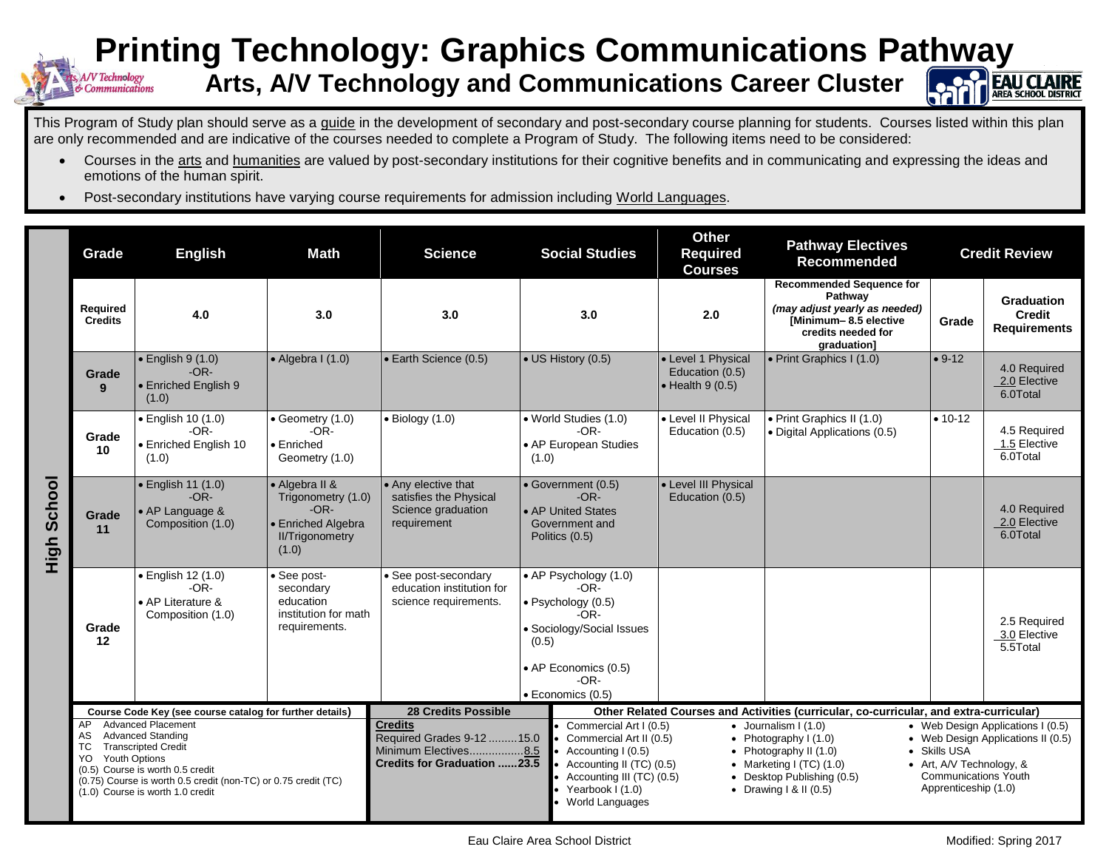## **Printing Technology: Graphics Communications Pathway Arts, A/V Technology and Communications Career Cluster** Technology

This Program of Study plan should serve as a guide in the development of secondary and post-secondary course planning for students. Courses listed within this plan are only recommended and are indicative of the courses needed to complete a Program of Study. The following items need to be considered:

- Courses in the arts and humanities are valued by post-secondary institutions for their cognitive benefits and in communicating and expressing the ideas and emotions of the human spirit.
- Post-secondary institutions have varying course requirements for admission including World Languages.

|                | Grade                                                                                                                                                                                                                                                                  | <b>English</b>                                                         | Math                                                                                                    | <b>Science</b>                                                                                             | <b>Social Studies</b>                                                                                             |                                                                                                                                                                                                                                                                                                                                                              | <b>Other</b><br><b>Required</b><br><b>Courses</b>                 | <b>Pathway Electives</b><br><b>Recommended</b>                                                                                            | <b>Credit Review</b>                                                                                                                                                       |                                                           |  |
|----------------|------------------------------------------------------------------------------------------------------------------------------------------------------------------------------------------------------------------------------------------------------------------------|------------------------------------------------------------------------|---------------------------------------------------------------------------------------------------------|------------------------------------------------------------------------------------------------------------|-------------------------------------------------------------------------------------------------------------------|--------------------------------------------------------------------------------------------------------------------------------------------------------------------------------------------------------------------------------------------------------------------------------------------------------------------------------------------------------------|-------------------------------------------------------------------|-------------------------------------------------------------------------------------------------------------------------------------------|----------------------------------------------------------------------------------------------------------------------------------------------------------------------------|-----------------------------------------------------------|--|
|                | <b>Required</b><br><b>Credits</b>                                                                                                                                                                                                                                      | 4.0                                                                    | 3.0                                                                                                     | 3.0                                                                                                        | 3.0                                                                                                               |                                                                                                                                                                                                                                                                                                                                                              | 2.0                                                               | <b>Recommended Sequence for</b><br>Pathway<br>(may adjust yearly as needed)<br>[Minimum-8.5 elective<br>credits needed for<br>graduation] | Grade                                                                                                                                                                      | <b>Graduation</b><br><b>Credit</b><br><b>Requirements</b> |  |
|                | Grade<br>9                                                                                                                                                                                                                                                             | $\bullet$ English 9 (1.0)<br>$-OR-$<br>• Enriched English 9<br>(1.0)   | $\bullet$ Algebra I (1.0)                                                                               | • Earth Science (0.5)                                                                                      | • US History (0.5)                                                                                                |                                                                                                                                                                                                                                                                                                                                                              | • Level 1 Physical<br>Education (0.5)<br>$\bullet$ Health 9 (0.5) | • Print Graphics I (1.0)                                                                                                                  | $• 9-12$                                                                                                                                                                   | 4.0 Required<br>2.0 Elective<br>6.0Total                  |  |
| School<br>High | Grade<br>10                                                                                                                                                                                                                                                            | · English 10 (1.0)<br>$-OR-$<br>• Enriched English 10<br>(1.0)         | $\bullet$ Geometry (1.0)<br>$-OR-$<br>• Enriched<br>Geometry (1.0)                                      | $\bullet$ Biology (1.0)                                                                                    | • World Studies (1.0)<br>• AP European Studies<br>(1.0)                                                           | $-OR-$                                                                                                                                                                                                                                                                                                                                                       | • Level II Physical<br>Education (0.5)                            | • Print Graphics II (1.0)<br>• Digital Applications (0.5)                                                                                 | $• 10-12$                                                                                                                                                                  | 4.5 Required<br>1.5 Elective<br>6.0Total                  |  |
|                | Grade<br>11                                                                                                                                                                                                                                                            | • English 11 (1.0)<br>$-OR-$<br>• AP Language &<br>Composition (1.0)   | • Algebra II &<br>Trigonometry (1.0)<br>$-OR-$<br>• Enriched Algebra<br><b>II/Trigonometry</b><br>(1.0) | • Any elective that<br>satisfies the Physical<br>Science graduation<br>requirement                         | • Government (0.5)<br>• AP United States<br>Government and<br>Politics (0.5)                                      | $-OR-$                                                                                                                                                                                                                                                                                                                                                       | • Level III Physical<br>Education (0.5)                           |                                                                                                                                           |                                                                                                                                                                            | 4.0 Required<br>2.0 Elective<br>6.0Total                  |  |
|                | Grade<br>12                                                                                                                                                                                                                                                            | · English 12 (1.0)<br>$-OR-$<br>• AP Literature &<br>Composition (1.0) | · See post-<br>secondary<br>education<br>institution for math<br>requirements.                          | • See post-secondary<br>education institution for<br>science requirements.                                 | • AP Psychology (1.0)<br>$\bullet$ Psychology (0.5)<br>(0.5)<br>• AP Economics (0.5)<br>$\bullet$ Economics (0.5) | $-OR-$<br>$-OR-$<br>· Sociology/Social Issues<br>$-OR-$                                                                                                                                                                                                                                                                                                      |                                                                   |                                                                                                                                           |                                                                                                                                                                            | 2.5 Required<br>3.0 Elective<br>$\overline{5.5}$ Total    |  |
|                | <b>28 Credits Possible</b><br>Course Code Key (see course catalog for further details)                                                                                                                                                                                 |                                                                        |                                                                                                         |                                                                                                            |                                                                                                                   | Other Related Courses and Activities (curricular, co-curricular, and extra-curricular)                                                                                                                                                                                                                                                                       |                                                                   |                                                                                                                                           |                                                                                                                                                                            |                                                           |  |
|                | <b>Advanced Placement</b><br>AP<br>AS<br>Advanced Standing<br><b>Transcripted Credit</b><br>ТC<br>YO<br><b>Youth Options</b><br>(0.5) Course is worth 0.5 credit<br>(0.75) Course is worth 0.5 credit (non-TC) or 0.75 credit (TC)<br>(1.0) Course is worth 1.0 credit |                                                                        |                                                                                                         | <b>Credits</b><br>Required Grades 9-12  15.0<br>Minimum Electives8.5<br><b>Credits for Graduation 23.5</b> |                                                                                                                   | Commercial Art I (0.5)<br>$\bullet$ Journalism I (1.0)<br>Commercial Art II (0.5)<br>• Photography $(1.0)$<br>Accounting I (0.5)<br>Photography II (1.0)<br>$\bullet$<br>Accounting II (TC) (0.5)<br>• Marketing I $(TC)$ $(1.0)$<br>Accounting III (TC) (0.5)<br>Desktop Publishing (0.5)<br>Yearbook I (1.0)<br>• Drawing $1 & 1 (0.5)$<br>World Languages |                                                                   |                                                                                                                                           | • Web Design Applications I (0.5)<br>• Web Design Applications II (0.5)<br>• Skills USA<br>• Art, A/V Technology, &<br><b>Communications Youth</b><br>Apprenticeship (1.0) |                                                           |  |